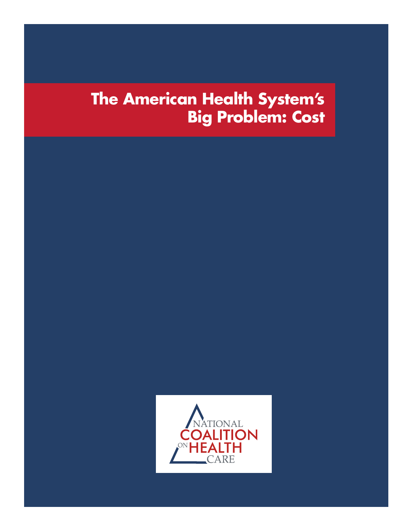# **The American Health System's Big Problem: Cost**

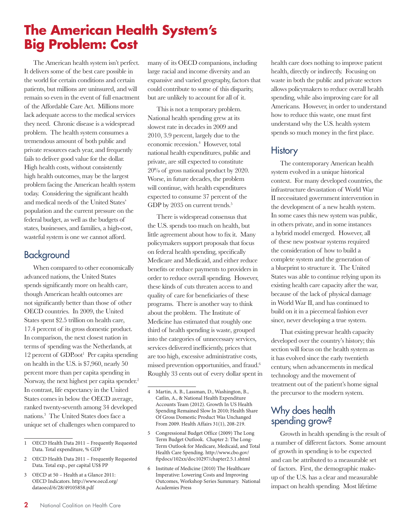## **The American Health System's Big Problem: Cost**

The American health system isn't perfect. It delivers some of the best care possible in the world for certain conditions and certain patients, but millions are uninsured, and will remain so even in the event of full enactment of the Affordable Care Act. Millions more lack adequate access to the medical services they need. Chronic disease is a widespread problem. The health system consumes a tremendous amount of both public and private resources each year, and frequently fails to deliver good value for the dollar. High health costs, without consistently high health outcomes, may be the largest problem facing the American health system today. Considering the significant health and medical needs of the United States' population and the current pressure on the federal budget, as well as the budgets of states, businesses, and families, a high-cost, wasteful system is one we cannot afford.

### **Background**

When compared to other economically advanced nations, the United States spends significantly more on health care, though American health outcomes are not significantly better than those of other OECD countries. In 2009, the United States spent \$2.5 trillion on health care, 17.4 percent of its gross domestic product. In comparison, the next closest nation in terms of spending was the Netherlands, at 12 percent of GDP.oot<sup>1</sup> Per capita spending on health in the U.S. is \$7,960, nearly 50 percent more than per capita spending in Norway, the next highest per capita spender.<sup>2</sup> In contrast, life expectancy in the United States comes in below the OECD average, ranked twenty-seventh among 34 developed nations.3 The United States does face a unique set of challenges when compared to

3 OECD at 50 – Health at a Glance 2011: OECD Indicators. http://www.oecd.org/ dataoecd/6/28/49105858.pdf

many of its OECD companions, including large racial and income diversity and an expansive and varied geography, factors that could contribute to some of this disparity, but are unlikely to account for all of it.

This is not a temporary problem. National health spending grew at its slowest rate in decades in 2009 and 2010, 3.9 percent, largely due to the economic recession.<sup>4</sup> However, total national health expenditures, public and private, are still expected to constitute 20% of gross national product by 2020. Worse, in future decades, the problem will continue, with health expenditures expected to consume 37 percent of the GDP by 2035 on current trends.<sup>5</sup>

There is widespread consensus that the U.S. spends too much on health, but little agreement about how to fix it. Many policymakers support proposals that focus on federal health spending, specifically Medicare and Medicaid, and either reduce benefits or reduce payments to providers in order to reduce overall spending. However, these kinds of cuts threaten access to and quality of care for beneficiaries of these programs. There is another way to think about the problem. The Institute of Medicine has estimated that roughly one third of health spending is waste, grouped into the categories of unnecessary services, services delivered inefficiently, prices that are too high, excessive administrative costs, missed prevention opportunities, and fraud.6 Roughly 33 cents out of every dollar spent in

- 5 Congressional Budget Office (2009) The Long Term Budget Outlook. Chapter 2: The Long-Term Outlook for Medicare, Medicaid, and Total Health Care Spending. http://www.cbo.gov/ ftpdocs/102xx/doc10297/chapter2.5.1.shtml
- 6 Institute of Medicine (2010) The Healthcare Imperative: Lowering Costs and Improving Outcomes, Workshop Series Summary. National Academies Press

health care does nothing to improve patient health, directly or indirectly. Focusing on waste in both the public and private sectors allows policymakers to reduce overall health spending, while also improving care for all Americans. However, in order to understand how to reduce this waste, one must first understand why the U.S. health system spends so much money in the first place.

### **History**

The contemporary American health system evolved in a unique historical context. For many developed countries, the infrastructure devastation of World War II necessitated government intervention in the development of a new health system. In some cases this new system was public, in others private, and in some instances a hybrid model emerged. However, all of these new postwar systems required the consideration of how to build a complete system and the generation of a blueprint to structure it. The United States was able to continue relying upon its existing health care capacity after the war, because of the lack of physical damage in World War II, and has continued to build on it in a piecemeal fashion ever since, never developing a true system.

That existing prewar health capacity developed over the country's history; this section will focus on the health system as it has evolved since the early twentieth century, when advancements in medical technology and the movement of treatment out of the patient's home signal the precursor to the modern system.

### Why does health spending grow?

Growth in health spending is the result of a number of different factors. Some amount of growth in spending is to be expected and can be attributed to a measurable set of factors. First, the demographic makeup of the U.S. has a clear and measurable impact on health spending. Most lifetime

<sup>1</sup> OECD Health Data 2011 – Frequently Requested Data. Total expenditure, % GDP

<sup>2</sup> OECD Health Data 2011 – Frequently Requested Data. Total exp., per capital US\$ PP

<sup>4</sup> Martin, A. B., Lassman, D., Washington, B., Catlin, A., & National Health Expenditure Accounts Team (2012). Growth In US Health Spending Remained Slow In 2010; Health Share Of Gross Domestic Product Was Unchanged From 2009. Health Affairs 31(1), 208-219.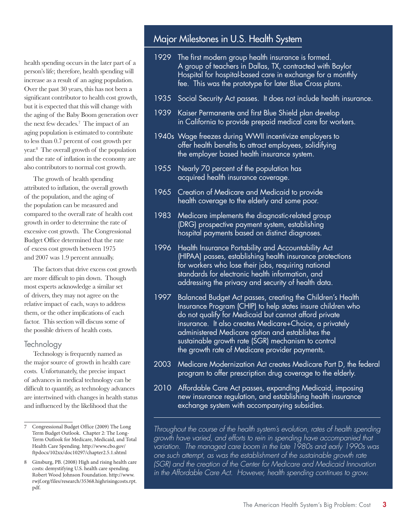health spending occurs in the later part of a person's life; therefore, health spending will increase as a result of an aging population. Over the past 30 years, this has not been a significant contributor to health cost growth, but it is expected that this will change with the aging of the Baby Boom generation over the next few decades.7 The impact of an aging population is estimated to contribute to less than 0.7 percent of cost growth per year.8 The overall growth of the population and the rate of inflation in the economy are also contributors to normal cost growth.

The growth of health spending attributed to inflation, the overall growth of the population, and the aging of the population can be measured and compared to the overall rate of health cost growth in order to determine the rate of excessive cost growth. The Congressional Budget Office determined that the rate of excess cost growth between 1975 and 2007 was 1.9 percent annually.

The factors that drive excess cost growth are more difficult to pin down. Though most experts acknowledge a similar set of drivers, they may not agree on the relative impact of each, ways to address them, or the other implications of each factor. This section will discuss some of the possible drivers of health costs.

#### **Technology**

Technology is frequently named as the major source of growth in health care costs. Unfortunately, the precise impact of advances in medical technology can be difficult to quantify, as technology advances are intertwined with changes in health status and influenced by the likelihood that the

### Major Milestones in U.S. Health System

- 1929 The first modern group health insurance is formed. A group of teachers in Dallas, TX, contracted with Baylor Hospital for hospital-based care in exchange for a monthly fee. This was the prototype for later Blue Cross plans.
- 1935 Social Security Act passes. It does not include health insurance.
- 1939 Kaiser Permanente and first Blue Shield plan develop in California to provide prepaid medical care for workers.
- 1940s Wage freezes during WWII incentivize employers to offer health benefits to attract employees, solidifying the employer based health insurance system.
- 1955 Nearly 70 percent of the population has acquired health insurance coverage.
- 1965 Creation of Medicare and Medicaid to provide health coverage to the elderly and some poor.
- 1983 Medicare implements the diagnostic-related group (DRG) prospective payment system, establishing hospital payments based on distinct diagnoses.
- 1996 Health Insurance Portability and Accountability Act (HIPAA) passes, establishing health insurance protections for workers who lose their jobs, requiring national standards for electronic health information, and addressing the privacy and security of health data.
- 1997 Balanced Budget Act passes, creating the Children's Health Insurance Program (CHIP) to help states insure children who do not qualify for Medicaid but cannot afford private insurance. It also creates Medicare+Choice, a privately administered Medicare option and establishes the sustainable growth rate (SGR) mechanism to control the growth rate of Medicare provider payments.
- 2003 Medicare Modernization Act creates Medicare Part D, the federal program to offer prescription drug coverage to the elderly.
- 2010 Affordable Care Act passes, expanding Medicaid, imposing new insurance regulation, and establishing health insurance exchange system with accompanying subsidies.

*Throughout the course of the health system's evolution, rates of health spending growth have varied, and efforts to rein in spending have accompanied that variation. The managed care boom in the late 1980s and early 1990s was one such attempt, as was the establishment of the sustainable growth rate (SGR) and the creation of the Center for Medicare and Medicaid Innovation*  in the Affordable Care Act. However, health spending continues to grow.

<sup>7</sup> Congressional Budget Office (2009) The Long Term Budget Outlook. Chapter 2: The Long-Term Outlook for Medicare, Medicaid, and Total Health Care Spending. http://www.cbo.gov/ ftpdocs/102xx/doc10297/chapter2.5.1.shtml

<sup>8</sup> Ginsburg, PB. (2008) High and rising health care costs: demystifying U.S. health care spending. Robert Wood Johnson Foundation. http://www. rwjf.org/files/research/35368.highrisingcosts.rpt. pdf.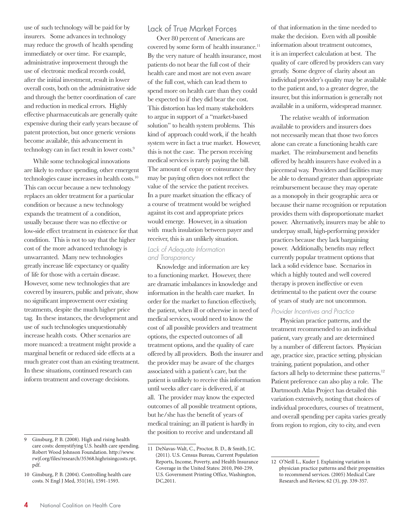use of such technology will be paid for by insurers. Some advances in technology may reduce the growth of health spending immediately or over time. For example, administrative improvement through the use of electronic medical records could, after the initial investment, result in lower overall costs, both on the administrative side and through the better coordination of care and reduction in medical errors. Highly effective pharmaceuticals are generally quite expensive during their early years because of patent protection, but once generic versions become available, this advancement in technology can in fact result in lower costs.9

While some technological innovations are likely to reduce spending, other emergent technologies cause increases in health costs.10 This can occur because a new technology replaces an older treatment for a particular condition or because a new technology expands the treatment of a condition, usually because there was no effective or low-side effect treatment in existence for that condition. This is not to say that the higher cost of the more advanced technology is unwarranted. Many new technologies greatly increase life expectancy or quality of life for those with a certain disease. However, some new technologies that are covered by insurers, public and private, show no significant improvement over existing treatments, despite the much higher price tag. In these instances, the development and use of such technologies unquestionably increase health costs. Other scenarios are more nuanced: a treatment might provide a marginal benefit or reduced side effects at a much greater cost than an existing treatment. In these situations, continued research can inform treatment and coverage decisions.

#### Lack of True Market Forces

Over 80 percent of Americans are covered by some form of health insurance.<sup>11</sup> By the very nature of health insurance, most patients do not bear the full cost of their health care and most are not even aware of the full cost, which can lead them to spend more on health care than they could be expected to if they did bear the cost. This distortion has led many stakeholders to argue in support of a "market-based solution" to health system problems. This kind of approach could work, if the health system were in fact a true market. However, this is not the case. The person receiving medical services is rarely paying the bill. The amount of copay or coinsurance they may be paying often does not reflect the value of the service the patient receives. In a pure market situation the efficacy of a course of treatment would be weighed against its cost and appropriate prices would emerge. However, in a situation with much insulation between payer and receiver, this is an unlikely situation.

#### *Lack of Adequate Information and Transparency*

Knowledge and information are key to a functioning market. However, there are dramatic imbalances in knowledge and information in the health care market. In order for the market to function effectively, the patient, when ill or otherwise in need of medical services, would need to know the cost of all possible providers and treatment options, the expected outcomes of all treatment options, and the quality of care offered by all providers. Both the insurer and the provider may be aware of the charges associated with a patient's care, but the patient is unlikely to receive this information until weeks after care is delivered, if at all. The provider may know the expected outcomes of all possible treatment options, but he/she has the benefit of years of medical training; an ill patient is hardly in the position to receive and understand all

of that information in the time needed to make the decision. Even with all possible information about treatment outcomes, it is an imperfect calculation at best. The quality of care offered by providers can vary greatly. Some degree of clarity about an individual provider's quality may be available to the patient and, to a greater degree, the insurer, but this information is generally not available in a uniform, widespread manner.

The relative wealth of information available to providers and insurers does not necessarily mean that those two forces alone can create a functioning health care market. The reimbursement and benefits offered by health insurers have evolved in a piecemeal way. Providers and facilities may be able to demand greater than appropriate reimbursement because they may operate as a monopoly in their geographic area or because their name recognition or reputation provides them with disproportionate market power. Alternatively, insurers may be able to underpay small, high-performing provider practices because they lack bargaining power. Additionally, benefits may reflect currently popular treatment options that lack a solid evidence base. Scenarios in which a highly touted and well covered therapy is proven ineffective or even detrimental to the patient over the course of years of study are not uncommon.

#### *Provider Incentives and Practice*

Physician practice patterns, and the treatment recommended to an individual patient, vary greatly and are determined by a number of different factors. Physician age, practice size, practice setting, physician training, patient population, and other factors all help to determine these patterns.<sup>12</sup> Patient preference can also play a role. The Dartmouth Atlas Project has detailed this variation extensively, noting that choices of individual procedures, courses of treatment, and overall spending per capita varies greatly from region to region, city to city, and even

<sup>9</sup> Ginsburg, P. B. (2008). High and rising health care costs: demystifying U.S. health care spending. Robert Wood Johnson Foundation. http://www. rwjf.org/files/research/35368.highrisingcosts.rpt. pdf.

<sup>10</sup> Ginsburg, P. B. (2004). Controlling health care costs. N Engl J Med, 351(16), 1591-1593.

<sup>11</sup> DeNavas-Walt, C., Proctor, B. D., & Smith, J.C. (2011). U.S. Census Bureau, Current Population Reports, Income, Poverty, and Health Insurance Coverage in the United States: 2010, P60-239, U.S. Government Printing Office, Washington, DC,2011.

<sup>12</sup> O'Neill L., Kuder J. Explaining variation in physician practice patterns and their propensities to recommend services. (2005) Medical Care Research and Review, 62 (3), pp. 339-357.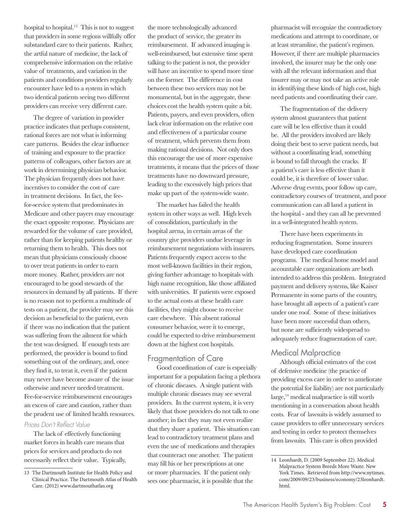hospital to hospital.<sup>13</sup> This is not to suggest that providers in some regions willfully offer substandard care to their patients. Rather, the artful nature of medicine, the lack of comprehensive information on the relative value of treatments, and variation in the patients and conditions providers regularly encounter have led to a system in which two identical patients seeing two different providers can receive very different care.

The degree of variation in provider practice indicates that perhaps consistent, rational forces are not what is informing care patterns. Besides the clear influence of training and exposure to the practice patterns of colleagues, other factors are at work in determining physician behavior. The physician frequently does not have incentives to consider the cost of care in treatment decisions. In fact, the feefor-service system that predominates in Medicare and other payers may encourage the exact opposite response. Physicians are rewarded for the volume of care provided, rather than for keeping patients healthy or returning them to health. This does not mean that physicians consciously choose to over treat patients in order to earn more money. Rather, providers are not encouraged to be good stewards of the resources in demand by all patients. If there is no reason not to perform a multitude of tests on a patient, the provider may see this decision as beneficial to the patient, even if there was no indication that the patient was suffering from the ailment for which the test was designed. If enough tests are performed, the provider is bound to find something out of the ordinary, and, once they find it, to treat it, even if the patient may never have become aware of the issue otherwise and never needed treatment. Fee-for-service reimbursement encourages an excess of care and caution, rather than the prudent use of limited health resources.

#### *Prices Don't Reflect Value*

The lack of effectively functioning market forces in health care means that prices for services and products do not necessarily reflect their value. Typically,

the more technologically advanced the product of service, the greater its reimbursement. If advanced imaging is well-reimbursed, but extensive time spent talking to the patient is not, the provider will have an incentive to spend more time on the former. The difference in cost between these two services may not be monumental, but in the aggregate, these choices cost the health system quite a bit. Patients, payers, and even providers, often lack clear information on the relative cost and effectiveness of a particular course of treatment, which prevents them from making rational decisions. Not only does this encourage the use of more expensive treatments, it means that the prices of those treatments have no downward pressure, leading to the excessively high prices that make up part of the system-wide waste.

The market has failed the health system in other ways as well. High levels of consolidation, particularly in the hospital arena, in certain areas of the country give providers undue leverage in reimbursement negotiations with insurers. Patients frequently expect access to the most well-known facilities in their region, giving further advantage to hospitals with high name recognition, like those affiliated with universities. If patients were exposed to the actual costs at these health care facilities, they might choose to receive care elsewhere. This absent rational consumer behavior, were it to emerge, could be expected to drive reimbursement down at the highest cost hospitals.

#### Fragmentation of Care

Good coordination of care is especially important for a population facing a plethora of chronic diseases. A single patient with multiple chronic diseases may see several providers. In the current system, it is very likely that those providers do not talk to one another; in fact they may not even realize that they share a patient. This situation can lead to contradictory treatment plans and even the use of medications and therapies that counteract one another. The patient may fill his or her prescriptions at one or more pharmacies. If the patient only sees one pharmacist, it is possible that the

pharmacist will recognize the contradictory medications and attempt to coordinate, or at least streamline, the patient's regimen. However, if there are multiple pharmacies involved, the insurer may be the only one with all the relevant information and that insurer may or may not take an active role in identifying these kinds of high cost, high need patients and coordinating their care.

The fragmentation of the delivery system almost guarantees that patient care will be less effective than it could be. All the providers involved are likely doing their best to serve patient needs, but without a coordinating lead, something is bound to fall through the cracks. If a patient's care is less effective than it could be, it is therefore of lower value. Adverse drug events, poor follow up care, contradictory courses of treatment, and poor communication can all land a patient in the hospital - and they can all be prevented in a well-integrated health system.

There have been experiments in reducing fragmentation. Some insurers have developed care coordination programs. The medical home model and accountable care organizations are both intended to address this problem. Integrated payment and delivery systems, like Kaiser Permanente in some parts of the country, have brought all aspects of a patient's care under one roof. Some of these initiatives have been more successful than others, but none are sufficiently widespread to adequately reduce fragmentation of care.

#### Medical Malpractice

Although official estimates of the cost of defensive medicine (the practice of providing excess care in order to ameliorate the potential for liability) are not particularly  $\text{large},^{14}$  medical malpractice is still worth mentioning in a conversation about health costs. Fear of lawsuits is widely assumed to cause providers to offer unnecessary services and testing in order to protect themselves from lawsuits. This care is often provided

<sup>13</sup> The Dartmouth Institute for Health Policy and Clinical Practice. The Dartmouth Atlas of Health Care. (2012) www.dartmouthatlas.org

<sup>14</sup> Leonhardt, D. (2009 September 22). Medical Malpractice System Breeds More Waste. New York Times. Retrieved from http://www.nytimes. com/2009/09/23/business/economy/23leonhardt. html.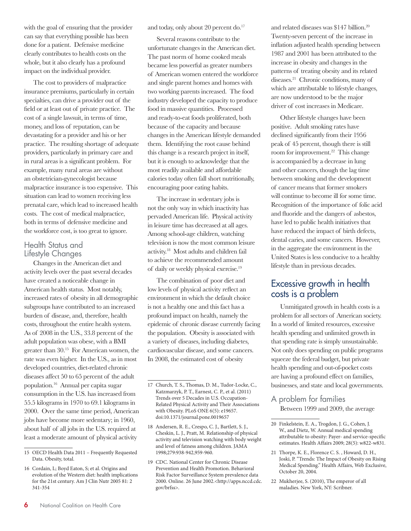with the goal of ensuring that the provider can say that everything possible has been done for a patient. Defensive medicine clearly contributes to health costs on the whole, but it also clearly has a profound impact on the individual provider.

The cost to providers of malpractice insurance premiums, particularly in certain specialties, can drive a provider out of the field or at least out of private practice. The cost of a single lawsuit, in terms of time, money, and loss of reputation, can be devastating for a provider and his or her practice. The resulting shortage of adequate providers, particularly in primary care and in rural areas is a significant problem. For example, many rural areas are without an obstetrician-gynecologist because malpractice insurance is too expensive. This situation can lead to women receiving less prenatal care, which lead to increased health costs. The cost of medical malpractice, both in terms of defensive medicine and the workforce cost, is too great to ignore.

#### Health Status and Lifestyle Changes

Changes in the American diet and activity levels over the past several decades have created a noticeable change in American health status. Most notably, increased rates of obesity in all demographic subgroups have contributed to an increased burden of disease, and, therefore, health costs, throughout the entire health system. As of 2008 in the U.S., 33.8 percent of the adult population was obese, with a BMI greater than 30.15 For American women, the rate was even higher. In the U.S., as in most developed countries, diet-related chronic diseases affect 50 to 65 percent of the adult population.16 Annual per capita sugar consumption in the U.S. has increased from 55.5 kilograms in 1970 to 69.1 kilograms in 2000. Over the same time period, American jobs have become more sedentary; in 1960, about half of all jobs in the U.S. required at least a moderate amount of physical activity

and today, only about 20 percent do.<sup>17</sup>

Several reasons contribute to the unfortunate changes in the American diet. The past norm of home cooked meals became less powerful as greater numbers of American women entered the workforce and single parent homes and homes with two working parents increased. The food industry developed the capacity to produce food in massive quantities. Processed and ready-to-eat foods proliferated, both because of the capacity and because changes in the American lifestyle demanded them. Identifying the root cause behind this change is a research project in itself, but it is enough to acknowledge that the most readily available and affordable calories today often fall short nutritionally, encouraging poor eating habits.

The increase in sedentary jobs is not the only way in which inactivity has pervaded American life. Physical activity in leisure time has decreased at all ages. Among school-age children, watching television is now the most common leisure activity.18 Most adults and children fail to achieve the recommended amount of daily or weekly physical exercise.19

The combination of poor diet and low levels of physical activity reflect an environment in which the default choice is not a healthy one and this fact has a profound impact on health, namely the epidemic of chronic disease currently facing the population. Obesity is associated with a variety of diseases, including diabetes, cardiovascular disease, and some cancers. In 2008, the estimated cost of obesity

and related diseases was \$147 billion.20 Twenty-seven percent of the increase in inflation adjusted health spending between 1987 and 2001 has been attributed to the increase in obesity and changes in the patterns of treating obesity and its related diseases.<sup>21</sup> Chronic conditions, many of which are attributable to lifestyle changes, are now understood to be the major driver of cost increases in Medicare.

Other lifestyle changes have been positive. Adult smoking rates have declined significantly from their 1956 peak of 45 percent, though there is still room for improvement.<sup>22</sup> This change is accompanied by a decrease in lung and other cancers, though the lag time between smoking and the development of cancer means that former smokers will continue to become ill for some time. Recognition of the importance of folic acid and fluoride and the dangers of asbestos, have led to public health initiatives that have reduced the impact of birth defects, dental caries, and some cancers. However, in the aggregate the environment in the United States is less conducive to a healthy lifestyle than in previous decades.

### Excessive growth in health costs is a problem

Unmitigated growth in health costs is a problem for all sectors of American society. In a world of limited resources, excessive health spending and unlimited growth in that spending rate is simply unsustainable. Not only does spending on public programs squeeze the federal budget, but private health spending and out-of-pocket costs are having a profound effect on families, businesses, and state and local governments.

### A problem for families

Between 1999 and 2009, the average

- 21 Thorpe, K. E., Florence C. S. , Howard, D. H., Joski, P. "Trends: The Impact of Obesity on Rising Medical Spending." Health Affairs, Web Exclusive, October 20, 2004.
- 22 Mukherjee, S. (2010), The emperor of all maladies. New York, NY: Scribner.

<sup>15</sup> OECD Health Data 2011 – Frequently Requested Data. Obesity, total.

<sup>16</sup> Cordain, L; Boyd Eaton, S; et al. Origins and evolution of the Western diet: health implications for the 21st century. Am J Clin Nutr 2005 81: 2 341-354

<sup>17</sup> Church, T. S., Thomas, D. M., Tudor-Locke, C., Katzmarzyk, P. T., Earnest, C. P., et al. (2011) Trends over 5 Decades in U.S. Occupation-Related Physical Activity and Their Associations with Obesity. PLoS ONE 6(5): e19657. doi:10.1371/journal.pone.0019657

<sup>18</sup> Andersen, R. E., Crespo, C. J., Bartlett, S. J., Cheskin, L. J., Pratt, M. Relationship of physical activity and television watching with body weight and level of fatness among children. JAMA 1998;279:938-942,959-960.

<sup>19</sup> CDC. National Center for Chronic Disease Prevention and Health Promotion. Behavioral Risk Factor Surveillance System prevalence data 2000. Online. 26 June 2002.<http://apps.nccd.cdc. gov/brfss>.

<sup>20</sup> Finkelstein, E. A., Trogdon, J. G., Cohen, J. W., and Dietz, W. Annual medical spending attributable to obesity: Payer- and service-specific estimates. Health Affairs 2009; 28(5): w822-w831.